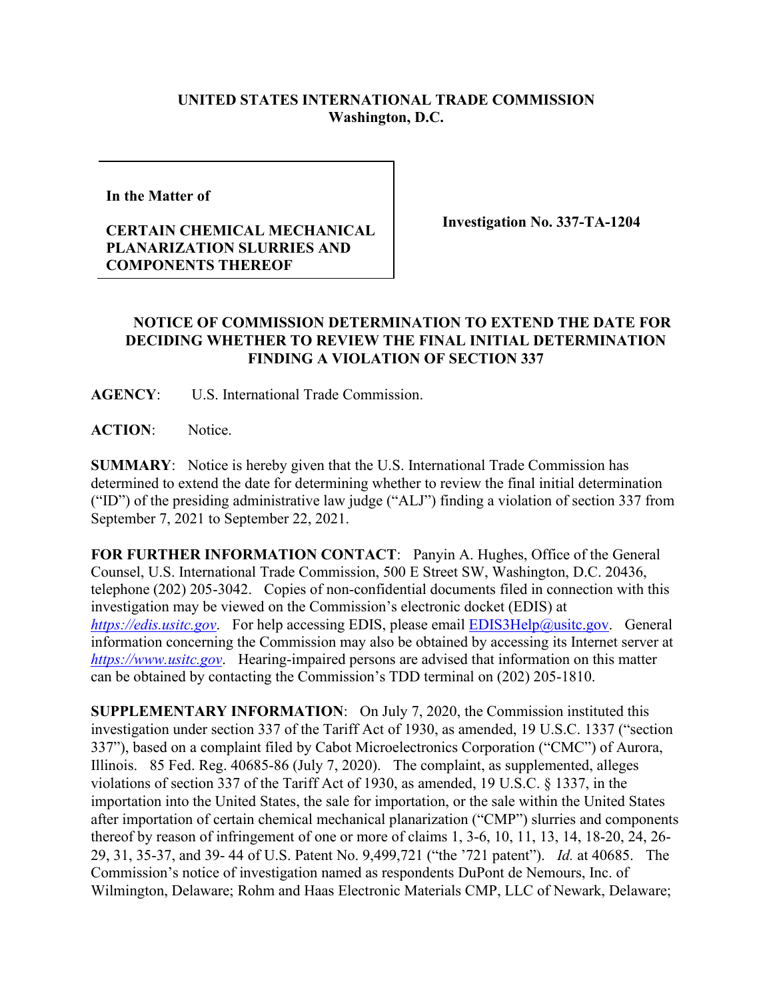## **UNITED STATES INTERNATIONAL TRADE COMMISSION Washington, D.C.**

**In the Matter of** 

## **CERTAIN CHEMICAL MECHANICAL PLANARIZATION SLURRIES AND COMPONENTS THEREOF**

**Investigation No. 337-TA-1204**

## **NOTICE OF COMMISSION DETERMINATION TO EXTEND THE DATE FOR DECIDING WHETHER TO REVIEW THE FINAL INITIAL DETERMINATION FINDING A VIOLATION OF SECTION 337**

**AGENCY**: U.S. International Trade Commission.

**ACTION**: Notice.

**SUMMARY**: Notice is hereby given that the U.S. International Trade Commission has determined to extend the date for determining whether to review the final initial determination ("ID") of the presiding administrative law judge ("ALJ") finding a violation of section 337 from September 7, 2021 to September 22, 2021.

**FOR FURTHER INFORMATION CONTACT**: Panyin A. Hughes, Office of the General Counsel, U.S. International Trade Commission, 500 E Street SW, Washington, D.C. 20436, telephone (202) 205-3042. Copies of non-confidential documents filed in connection with this investigation may be viewed on the Commission's electronic docket (EDIS) at *[https://edis.usitc.gov](https://edis.usitc.gov/).* For help accessing EDIS, please email **EDIS3Help@usitc.gov.** General information concerning the Commission may also be obtained by accessing its Internet server at *[https://www.usitc.gov](https://www.usitc.gov/)*. Hearing-impaired persons are advised that information on this matter can be obtained by contacting the Commission's TDD terminal on (202) 205-1810.

**SUPPLEMENTARY INFORMATION**: On July 7, 2020, the Commission instituted this investigation under section 337 of the Tariff Act of 1930, as amended, 19 U.S.C. 1337 ("section 337"), based on a complaint filed by Cabot Microelectronics Corporation ("CMC") of Aurora, Illinois. 85 Fed. Reg. 40685-86 (July 7, 2020). The complaint, as supplemented, alleges violations of section 337 of the Tariff Act of 1930, as amended, 19 U.S.C. § 1337, in the importation into the United States, the sale for importation, or the sale within the United States after importation of certain chemical mechanical planarization ("CMP") slurries and components thereof by reason of infringement of one or more of claims 1, 3-6, 10, 11, 13, 14, 18-20, 24, 26- 29, 31, 35-37, and 39- 44 of U.S. Patent No. 9,499,721 ("the '721 patent"). *Id.* at 40685. The Commission's notice of investigation named as respondents DuPont de Nemours, Inc. of Wilmington, Delaware; Rohm and Haas Electronic Materials CMP, LLC of Newark, Delaware;